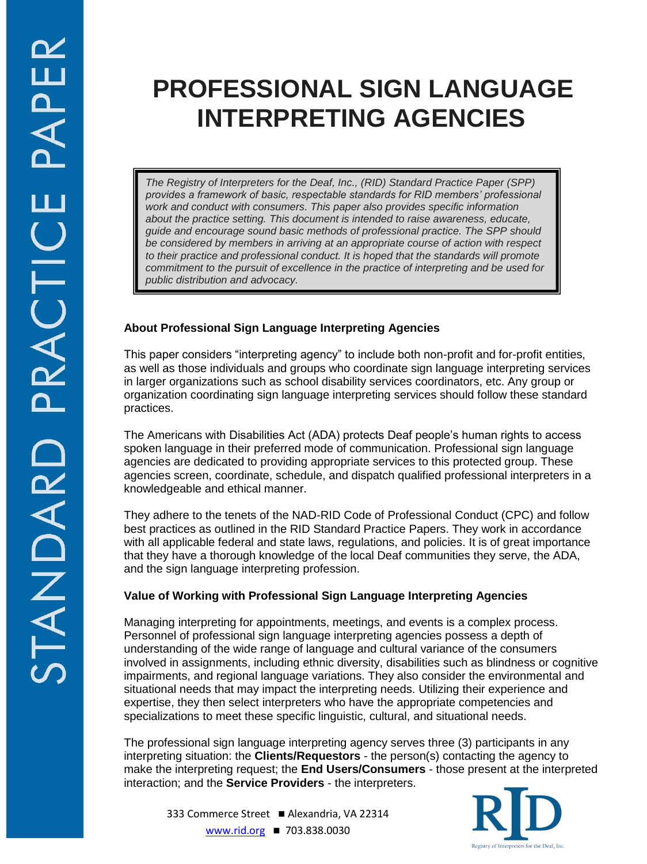# **PROFESSIONAL SIGN LANGUAGE INTERPRETING AGENCIES**

*The Registry of Interpreters for the Deaf, Inc., (RID) Standard Practice Paper (SPP) provides a framework of basic, respectable standards for RID members' professional work and conduct with consumers. This paper also provides specific information about the practice setting. This document is intended to raise awareness, educate, guide and encourage sound basic methods of professional practice. The SPP should be considered by members in arriving at an appropriate course of action with respect to their practice and professional conduct. It is hoped that the standards will promote commitment to the pursuit of excellence in the practice of interpreting and be used for public distribution and advocacy.*

# **About Professional Sign Language Interpreting Agencies**

This paper considers "interpreting agency" to include both non-profit and for-profit entities, as well as those individuals and groups who coordinate sign language interpreting services in larger organizations such as school disability services coordinators, etc. Any group or organization coordinating sign language interpreting services should follow these standard practices.

The Americans with Disabilities Act (ADA) protects Deaf people's human rights to access spoken language in their preferred mode of communication. Professional sign language agencies are dedicated to providing appropriate services to this protected group. These agencies screen, coordinate, schedule, and dispatch qualified professional interpreters in a knowledgeable and ethical manner.

They adhere to the tenets of the NAD-RID Code of Professional Conduct (CPC) and follow best practices as outlined in the RID Standard Practice Papers. They work in accordance with all applicable federal and state laws, regulations, and policies. It is of great importance that they have a thorough knowledge of the local Deaf communities they serve, the ADA, and the sign language interpreting profession.

# **Value of Working with Professional Sign Language Interpreting Agencies**

Managing interpreting for appointments, meetings, and events is a complex process. Personnel of professional sign language interpreting agencies possess a depth of understanding of the wide range of language and cultural variance of the consumers involved in assignments, including ethnic diversity, disabilities such as blindness or cognitive impairments, and regional language variations. They also consider the environmental and situational needs that may impact the interpreting needs. Utilizing their experience and expertise, they then select interpreters who have the appropriate competencies and specializations to meet these specific linguistic, cultural, and situational needs.

The professional sign language interpreting agency serves three (3) participants in any interpreting situation: the **Clients/Requestors** - the person(s) contacting the agency to make the interpreting request; the **End Users/Consumers** - those present at the interpreted interaction; and the **Service Providers** - the interpreters.



333 Commerce Street ■ Alexandria, VA 22314 [www.rid.org](http://www.rid.org/) ■ 703.838.0030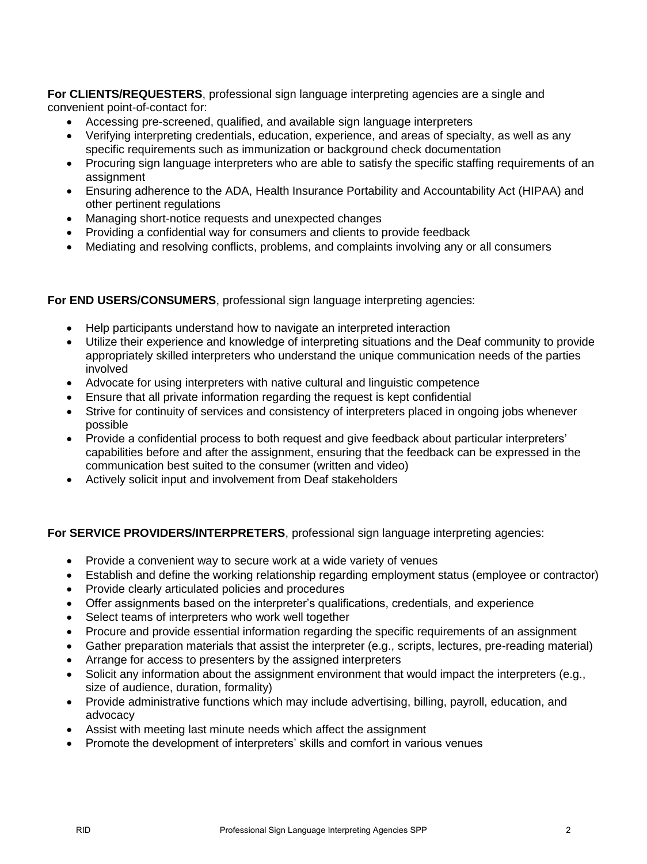**For CLIENTS/REQUESTERS**, professional sign language interpreting agencies are a single and convenient point-of-contact for:

- Accessing pre-screened, qualified, and available sign language interpreters
- Verifying interpreting credentials, education, experience, and areas of specialty, as well as any specific requirements such as immunization or background check documentation
- Procuring sign language interpreters who are able to satisfy the specific staffing requirements of an assignment
- Ensuring adherence to the ADA, Health Insurance Portability and Accountability Act (HIPAA) and other pertinent regulations
- Managing short-notice requests and unexpected changes
- Providing a confidential way for consumers and clients to provide feedback
- Mediating and resolving conflicts, problems, and complaints involving any or all consumers

#### **For END USERS/CONSUMERS**, professional sign language interpreting agencies:

- Help participants understand how to navigate an interpreted interaction
- Utilize their experience and knowledge of interpreting situations and the Deaf community to provide appropriately skilled interpreters who understand the unique communication needs of the parties involved
- Advocate for using interpreters with native cultural and linguistic competence
- Ensure that all private information regarding the request is kept confidential
- Strive for continuity of services and consistency of interpreters placed in ongoing jobs whenever possible
- Provide a confidential process to both request and give feedback about particular interpreters' capabilities before and after the assignment, ensuring that the feedback can be expressed in the communication best suited to the consumer (written and video)
- Actively solicit input and involvement from Deaf stakeholders

# **For SERVICE PROVIDERS/INTERPRETERS**, professional sign language interpreting agencies:

- Provide a convenient way to secure work at a wide variety of venues
- Establish and define the working relationship regarding employment status (employee or contractor)
- Provide clearly articulated policies and procedures
- Offer assignments based on the interpreter's qualifications, credentials, and experience
- Select teams of interpreters who work well together
- Procure and provide essential information regarding the specific requirements of an assignment
- Gather preparation materials that assist the interpreter (e.g., scripts, lectures, pre-reading material)
- Arrange for access to presenters by the assigned interpreters
- Solicit any information about the assignment environment that would impact the interpreters (e.g., size of audience, duration, formality)
- Provide administrative functions which may include advertising, billing, payroll, education, and advocacy
- Assist with meeting last minute needs which affect the assignment
- Promote the development of interpreters' skills and comfort in various venues